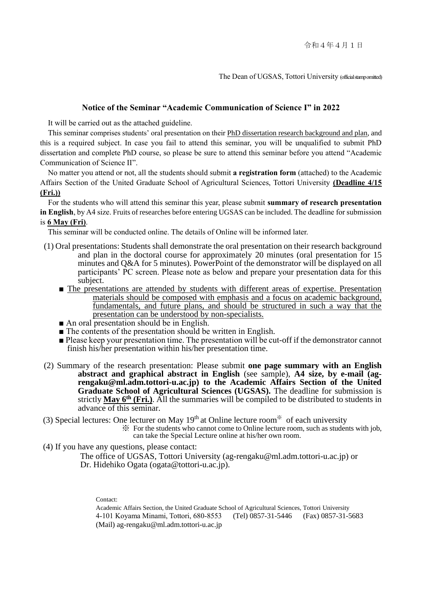The Dean of UGSAS, Tottori University (official stampomitted)

#### **Notice of the Seminar "Academic Communication of Science I" in 2022**

It will be carried out as the attached guideline.

This seminar comprises students' oral presentation on their PhD dissertation research background and plan, and this is a required subject. In case you fail to attend this seminar, you will be unqualified to submit PhD dissertation and complete PhD course, so please be sure to attend this seminar before you attend "Academic Communication of Science II".

No matter you attend or not, all the students should submit **a registration form** (attached) to the Academic Affairs Section of the United Graduate School of Agricultural Sciences, Tottori University **(Deadline 4/15 (Fri.))**

 For the students who will attend this seminar this year, please submit **summary of research presentation in English**, by A4 size. Fruits of researches before entering UGSAS can be included. The deadline for submission is **6 May (Fri)**.

This seminar will be conducted online. The details of Online will be informed later.

- (1) Oral presentations: Students shall demonstrate the oral presentation on their research background and plan in the doctoral course for approximately 20 minutes (oral presentation for 15 minutes and Q&A for 5 minutes). PowerPoint of the demonstrator will be displayed on all participants' PC screen. Please note as below and prepare your presentation data for this subject.
	- The presentations are attended by students with different areas of expertise. Presentation materials should be composed with emphasis and a focus on academic background, fundamentals, and future plans, and should be structured in such a way that the presentation can be understood by non-specialists.
	- An oral presentation should be in English.
	- The contents of the presentation should be written in English.
	- Please keep your presentation time. The presentation will be cut-off if the demonstrator cannot finish his/her presentation within his/her presentation time.
- (2) Summary of the research presentation: Please submit **one page summary with an English abstract and graphical abstract in English** (see sample), **A4 size, by e-mail [\(ag](mailto:ag-rengaku@ml.adm.tottori-u)[rengaku@ml.adm.tottori-u.](mailto:ag-rengaku@ml.adm.tottori-u)ac.jp) to the Academic Affairs Section of the United Graduate School of Agricultural Sciences (UGSAS).** The deadline for submission is strictly  $\overline{May\ 6^{th}(Fri.)}$ . All the summaries will be compiled to be distributed to students in advance of this seminar.

(3) Special lectures: One lecturer on May  $19<sup>th</sup>$  at Online lecture room<sup>\*\*</sup> of each university

※ For the students who cannot come to Online lecture room, such as students with job, can take the Special Lecture online at his/her own room.

(4) If you have any questions, please contact:

The office of UGSAS, Tottori University [\(ag-rengaku@ml.adm.tottori-u.ac.jp\)](mailto:ag-rengaku@ml.adm.tottori-u.ac.jp) or Dr. Hidehiko Ogata (ogata@tottori-u.ac.jp).

Contact:

Academic Affairs Section, the United Graduate School of Agricultural Sciences, Tottori University 4-101 Koyama Minami, Tottori, 680-8553 (Tel) 0857-31-5446 (Fax) 0857-31-5683 (Mail) ag-rengaku@ml.adm.tottori-u.ac.jp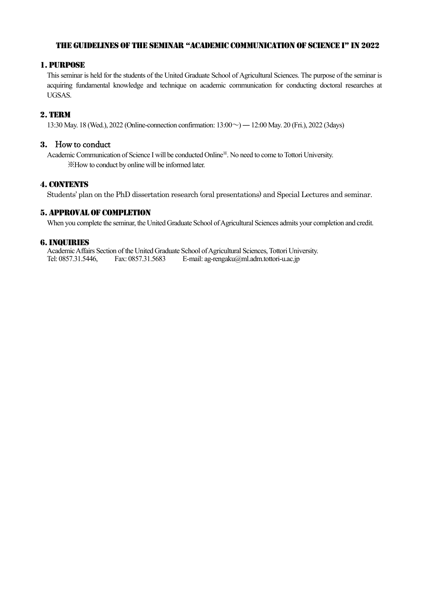#### The guidelines of the Seminar "Academic Communication of Science I" in 2022

### 1. Purpose

This seminar is held for the students of the United Graduate School of Agricultural Sciences. The purpose of the seminar is acquiring fundamental knowledge and technique on academic communication for conducting doctoral researches at UGSAS.

### 2. Term

13:30 May. 18 (Wed.), 2022 (Online-connection confirmation: 13:00~) ―12:00 May. 20 (Fri.), 2022 (3days)

### 3. How to conduct

Academic Communication of Science I will be conducted Online<sup>36</sup>. No need to come to Tottori University. ※How to conduct by online will be informed later.

#### 4. CONTENTS

Students' plan on the PhD dissertation research (oral presentations) and Special Lectures and seminar.

#### 5. Approval of Completion

When you complete the seminar, the United Graduate School of Agricultural Sciences admits your completion and credit.

#### 6.Inquiries

Academic Affairs Section of the United Graduate School of Agricultural Sciences, Tottori University. Tel: 0857.31.5446, Fax: 0857.31.5683 E-mail: ag-rengaku@ml.adm.tottori-u.ac.jp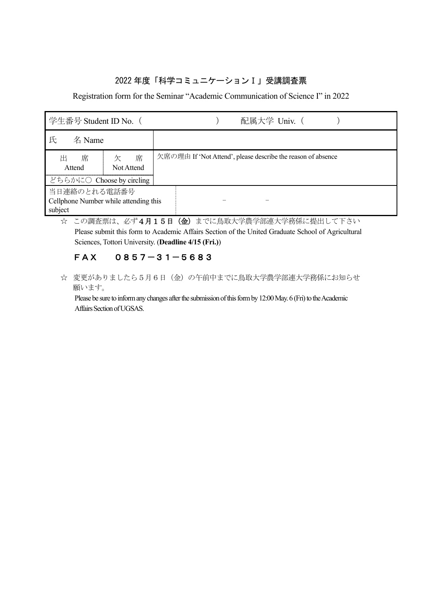## 2022 年度「科学コミュニケーションⅠ」受講調査票

Registration form for the Seminar "Academic Communication of Science Ⅰ" in 2022

| 学生番号 Student ID No. (                                            |                      | 配属大学 Univ. (                                                 |
|------------------------------------------------------------------|----------------------|--------------------------------------------------------------|
| 氏<br>名 Name                                                      |                      |                                                              |
| 席<br>出<br>Attend                                                 | 席<br>欠<br>Not Attend | 欠席の理由 If 'Not Attend', please describe the reason of absence |
| どちらかに〇 Choose by circling                                        |                      |                                                              |
| 当日連絡のとれる電話番号<br>Cellphone Number while attending this<br>subject |                      |                                                              |

☆ この調査票は、必ず4月15日 (金)までに鳥取大学農学部連大学務係に提出して下さい Please submit this form to Academic Affairs Section of the United Graduate School of Agricultural Sciences, Tottori University. (**Deadline 4/15 (Fri.)**)

## FAX 0857-31-5683

☆ 変更がありましたら5月6日(金)の午前中までに鳥取大学農学部連大学務係にお知らせ 願います。

Please be sure to inform any changes after the submission of this form by 12:00 May. 6 (Fri) to the Academic Affairs Section of UGSAS.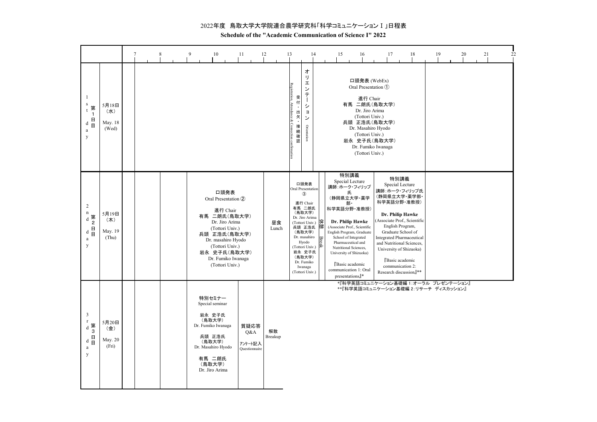2022年度 鳥取大学大学院連合農学研究科「科学コミュニケーション I 」日程表

Schedule of the "Academic Communication of Science I" 2022

|                                                                                                                                          |                                  |  |  | 9 | 10                                                                                                                                                                                                             | 11                              |      | 12            | 13                                                                | 14                                                                                                                                                                                                                                                           |   | 15                                                                                       |                                                                                                                                                                                                                                                   | 16                                                                                  | 17                                                                                                                                | 18                                                                                                                                                                                                                                                                                                                               | 19 | 20 | 21 | 22 |
|------------------------------------------------------------------------------------------------------------------------------------------|----------------------------------|--|--|---|----------------------------------------------------------------------------------------------------------------------------------------------------------------------------------------------------------------|---------------------------------|------|---------------|-------------------------------------------------------------------|--------------------------------------------------------------------------------------------------------------------------------------------------------------------------------------------------------------------------------------------------------------|---|------------------------------------------------------------------------------------------|---------------------------------------------------------------------------------------------------------------------------------------------------------------------------------------------------------------------------------------------------|-------------------------------------------------------------------------------------|-----------------------------------------------------------------------------------------------------------------------------------|----------------------------------------------------------------------------------------------------------------------------------------------------------------------------------------------------------------------------------------------------------------------------------------------------------------------------------|----|----|----|----|
| $\mathbf{1}$<br>${\bf s}$<br>第<br>t<br>$\overline{1}$<br>$\begin{array}{c} \mathbf{1} \\ \mathbf{1} \\ \mathbf{1} \end{array}$<br>a<br>y | 5月18日<br>(水)<br>May. 18<br>(Wed) |  |  |   |                                                                                                                                                                                                                |                                 |      |               | Registration, Atter<br>受付<br>出<br>欠<br>·<br>Connection cc<br>接続確認 | ォ<br>IJ<br>I<br>ン<br>テ<br>シ<br>$\exists$<br>ン<br>Orientation                                                                                                                                                                                                 |   |                                                                                          |                                                                                                                                                                                                                                                   | 進行 Chair<br>Dr. Jiro Arima<br>(Tottori Univ.)<br>(Tottori Univ.)<br>(Tottori Univ.) | 口頭発表 (WebEx)<br>Oral Presentation (1)<br>有馬 二朗氏(鳥取大学)<br>兵頭 正浩氏(鳥取大学)<br>Dr. Masahiro Hyodo<br>岩永 史子氏(鳥取大学)<br>Dr. Fumiko Iwanaga |                                                                                                                                                                                                                                                                                                                                  |    |    |    |    |
| $\overline{2}$<br>$\mathbf n$<br>d 第<br>2<br>$\begin{array}{c} \mathbf{u} \\ \mathbf{v} \\ \mathbf{v} \end{array}$<br>a<br>y             | 5月19日<br>(木)<br>May. 19<br>(Thu) |  |  |   | 口頭発表<br>Oral Presentation 2<br>進行 Chair<br>有馬 二朗氏(鳥取大学)<br>Dr. Jiro Arima<br>(Tottori Univ.)<br>兵頭 正浩氏(鳥取大学)<br>Dr. masahiro Hyodo<br>(Tottori Univ.)<br>岩永 史子氏(鳥取大学)<br>Dr. Fumiko Iwanaga<br>(Tottori Univ.) |                                 |      | 昼食<br>Lunch   |                                                                   | 口頭発表<br>Oral Presentation<br>$\circled{3}$<br>進行 Chair<br>有馬 二朗氏<br>(鳥取大学)<br>Dr. Jiro Arima<br>(Tottori Univ.) 全国<br>兵頭 正浩氏<br>兵頭 正浩氏<br>(鳥取大学)<br>Dr. masahiro<br>Hyodo<br>(Tottori Univ.)<br>岩永 史子氏<br>(鳥取大学)<br>Dr. Fumiko<br>Iwanaga<br>(Tottori Univ.) | 停 | 講師:ホーク・フィリップ<br>科学英語分野·准教授)<br>(Associate Prof., Scientific<br>English Program, Graduate | 特別講義<br>Special Lecture<br>氏<br>(静岡県立大学・薬学<br>部・<br>Dr. Philip Hawke<br>School of Integrated<br>Pharmaceutical and<br>Nutritional Sciences,<br>University of Shizuoka)<br>Basic academic<br>communication 1: Oral<br>$presentations$ <sup>*</sup> |                                                                                     |                                                                                                                                   | 特別講義<br>Special Lecture<br>講師:ホーク・フィリップ氏<br>(静岡県立大学・薬学部・<br>科学英語分野·准教授)<br>Dr. Philip Hawke<br>Associate Prof., Scientific<br>English Program,<br>Graduate School of<br><b>Integrated Pharmaceutical</b><br>and Nutritional Sciences,<br>University of Shizuoka)<br>Basic academic<br>communication 2:<br>Research discussion』** |    |    |    |    |
| $\overline{3}$<br>$\mathbf r$<br>- d 第 3<br>d 目<br>d 目<br>$\rm{a}$<br>y                                                                  | 5月20日<br>(金)<br>May. 20<br>(Fri) |  |  |   | 特別セミナー<br>Special seminar<br>岩永 史子氏<br>(鳥取大学)<br>Dr. Fumiko Iwanaga<br>兵頭 正浩氏<br>(鳥取大学)<br>Dr. Masahiro Hyodo<br>有馬 二朗氏<br>(鳥取大学)<br>Dr. Jiro Arima                                                            | Q&A<br>アンケート記入<br>Questionnaire | 質疑応答 | 解散<br>Breakup |                                                                   |                                                                                                                                                                                                                                                              |   |                                                                                          |                                                                                                                                                                                                                                                   |                                                                                     |                                                                                                                                   | *『科学英語コミュニケーション基礎編 1:オーラル プレゼンテーション』<br>**『科学英語コミュニケーション基礎編 2:リサーチ ディスカッション』                                                                                                                                                                                                                                                     |    |    |    |    |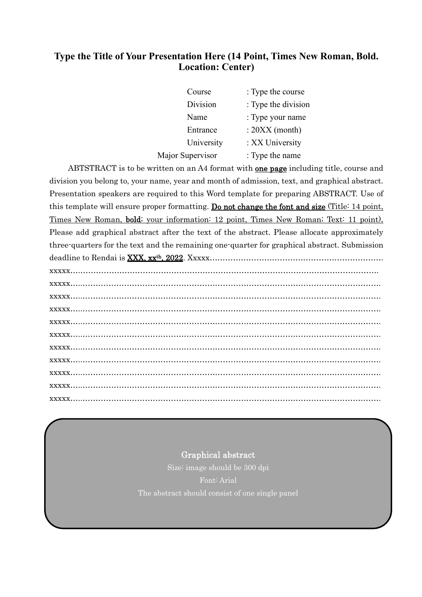# **Type the Title of Your Presentation Here (14 Point, Times New Roman, Bold. Location: Center)**

| Course           | : Type the course   |
|------------------|---------------------|
| Division         | : Type the division |
| Name             | : Type your name    |
| Entrance         | $: 20XX$ (month)    |
| University       | : XX University     |
| Major Supervisor | : Type the name     |

ABTSTRACT is to be written on an A4 format with **one page** including title, course and division you belong to, your name, year and month of admission, text, and graphical abstract. Presentation speakers are required to this Word template for preparing ABSTRACT. Use of this template will ensure proper formatting. Do not change the font and size (Title: 14 point, Times New Roman, bold; your information: 12 point, Times New Roman; Text: 11 point). Please add graphical abstract after the text of the abstract. Please allocate approximately three-quarters for the text and the remaining one-quarter for graphical abstract. Submission deadline to Rendai is XXX, xx<sup>th</sup>, 2022. Xxxxx…………………………………………………………… xxxxx….……………………………………………………………………………………………………. xxxxx…..……………………………………………………………………………………………………. xxxxx…..……………………………………………………………………………………………………. xxxxx…..……………………………………………………………………………………………………. xxxxx…..…………………………………………………………………………………………………….

## Graphical abstract

Size: image should be 300 dpi Font: Arial The abstract should consist of one single panel